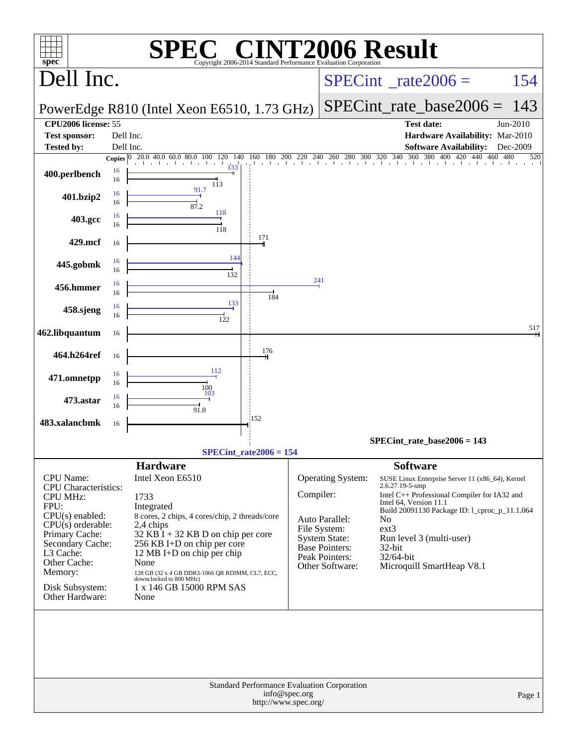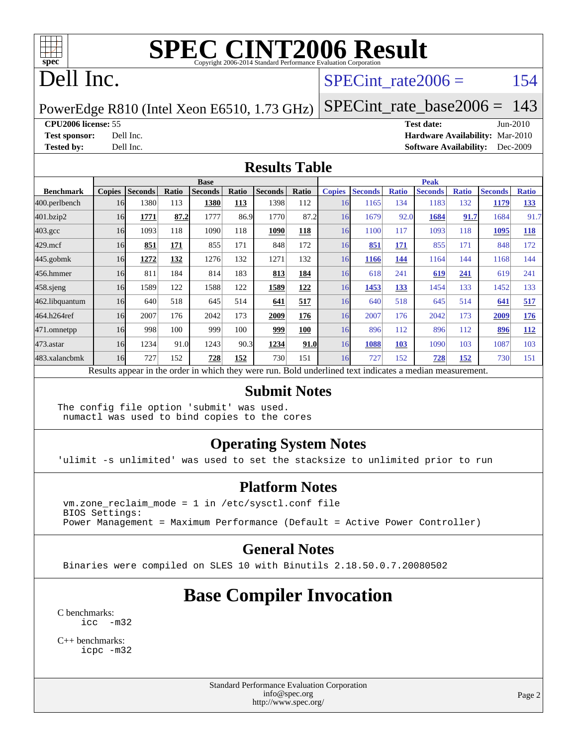

#### Dell Inc.

#### SPECint rate $2006 = 154$

#### PowerEdge R810 (Intel Xeon E6510, 1.73 GHz) [SPECint\\_rate\\_base2006 =](http://www.spec.org/auto/cpu2006/Docs/result-fields.html#SPECintratebase2006) 143

**[CPU2006 license:](http://www.spec.org/auto/cpu2006/Docs/result-fields.html#CPU2006license)** 55 **[Test date:](http://www.spec.org/auto/cpu2006/Docs/result-fields.html#Testdate)** Jun-2010 **[Test sponsor:](http://www.spec.org/auto/cpu2006/Docs/result-fields.html#Testsponsor)** Dell Inc. **[Hardware Availability:](http://www.spec.org/auto/cpu2006/Docs/result-fields.html#HardwareAvailability)** Mar-2010 **[Tested by:](http://www.spec.org/auto/cpu2006/Docs/result-fields.html#Testedby)** Dell Inc. **[Software Availability:](http://www.spec.org/auto/cpu2006/Docs/result-fields.html#SoftwareAvailability)** Dec-2009

#### **[Results Table](http://www.spec.org/auto/cpu2006/Docs/result-fields.html#ResultsTable)**

|                                                                                                          | <b>Base</b>   |                |       |                |       |                | <b>Peak</b> |               |                |              |                |              |                |              |
|----------------------------------------------------------------------------------------------------------|---------------|----------------|-------|----------------|-------|----------------|-------------|---------------|----------------|--------------|----------------|--------------|----------------|--------------|
| <b>Benchmark</b>                                                                                         | <b>Copies</b> | <b>Seconds</b> | Ratio | <b>Seconds</b> | Ratio | <b>Seconds</b> | Ratio       | <b>Copies</b> | <b>Seconds</b> | <b>Ratio</b> | <b>Seconds</b> | <b>Ratio</b> | <b>Seconds</b> | <b>Ratio</b> |
| 400.perlbench                                                                                            | 16            | 1380           | 113   | 1380           | 113   | 1398           | 112         | 16            | 1165           | 134          | 1183           | 132          | 1179           | 133          |
| 401.bzip2                                                                                                | 16            | 1771           | 87.2  | 1777           | 86.9  | 1770           | 87.2        | 16            | 1679           | 92.0         | 1684           | 91.7         | 1684           | 91.7         |
| $403.\mathrm{gcc}$                                                                                       | 16            | 1093           | 118   | 1090           | 118   | 1090           | 118         | 16            | 1100           | 117          | 1093           | 118          | 1095           | 118          |
| $429$ .mcf                                                                                               | 16            | 851            | 171   | 855            | 171   | 848            | 172         | 16            | 851            | 171          | 855            | 171          | 848            | 172          |
| $445$ .gobmk                                                                                             | 16            | 1272           | 132   | 1276           | 132   | 1271           | 132         | 16            | 1166           | 144          | 1164           | 144          | 1168           | 144          |
| 456.hmmer                                                                                                | 16            | 811            | 184   | 814            | 183   | 813            | 184         | 16            | 618            | 241          | 619            | 241          | 619            | 241          |
| $458$ .sjeng                                                                                             | 16            | 1589           | 122   | 1588           | 122   | 1589           | 122         | 16            | 1453           | 133          | 1454           | 133          | 1452           | 133          |
| 462.libquantum                                                                                           | 16            | 640            | 518   | 645            | 514   | 641            | 517         | 16            | 640            | 518          | 645            | 514          | 641            | 517          |
| 464.h264ref                                                                                              | 16            | 2007           | 176   | 2042           | 173   | 2009           | 176         | 16            | 2007           | 176          | 2042           | 173          | 2009           | 176          |
| 471.omnetpp                                                                                              | 16            | 998            | 100   | 999            | 100   | 999            | 100         | 16            | 896            | 112          | 896            | 112          | 896            | 112          |
| $473.$ astar                                                                                             | 16            | 1234           | 91.0  | 1243           | 90.3  | 1234           | 91.0        | 16            | 1088           | 103          | 1090           | 103          | 1087           | 103          |
| 483.xalancbmk                                                                                            | 16            | 727            | 152   | 728            | 152   | 730            | 151         | 16            | 727            | 152          | 728            | 152          | 730            | 151          |
| Results appear in the order in which they were run. Bold underlined text indicates a median measurement. |               |                |       |                |       |                |             |               |                |              |                |              |                |              |

#### **[Submit Notes](http://www.spec.org/auto/cpu2006/Docs/result-fields.html#SubmitNotes)**

The config file option 'submit' was used. numactl was used to bind copies to the cores

#### **[Operating System Notes](http://www.spec.org/auto/cpu2006/Docs/result-fields.html#OperatingSystemNotes)**

'ulimit -s unlimited' was used to set the stacksize to unlimited prior to run

#### **[Platform Notes](http://www.spec.org/auto/cpu2006/Docs/result-fields.html#PlatformNotes)**

 vm.zone\_reclaim\_mode = 1 in /etc/sysctl.conf file BIOS Settings: Power Management = Maximum Performance (Default = Active Power Controller)

#### **[General Notes](http://www.spec.org/auto/cpu2006/Docs/result-fields.html#GeneralNotes)**

Binaries were compiled on SLES 10 with Binutils 2.18.50.0.7.20080502

#### **[Base Compiler Invocation](http://www.spec.org/auto/cpu2006/Docs/result-fields.html#BaseCompilerInvocation)**

[C benchmarks](http://www.spec.org/auto/cpu2006/Docs/result-fields.html#Cbenchmarks): [icc -m32](http://www.spec.org/cpu2006/results/res2010q3/cpu2006-20100803-12835.flags.html#user_CCbase_intel_icc_32bit_5ff4a39e364c98233615fdd38438c6f2)

[C++ benchmarks:](http://www.spec.org/auto/cpu2006/Docs/result-fields.html#CXXbenchmarks) [icpc -m32](http://www.spec.org/cpu2006/results/res2010q3/cpu2006-20100803-12835.flags.html#user_CXXbase_intel_icpc_32bit_4e5a5ef1a53fd332b3c49e69c3330699)

> Standard Performance Evaluation Corporation [info@spec.org](mailto:info@spec.org) <http://www.spec.org/>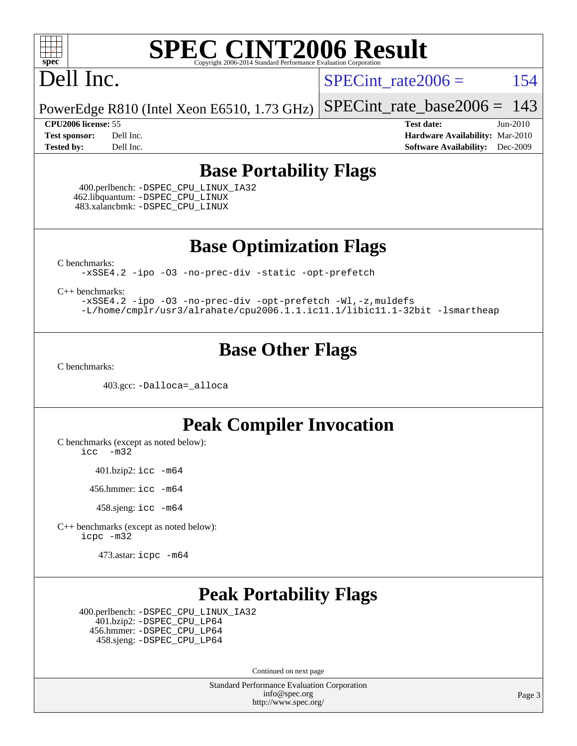

#### Dell Inc.

SPECint rate $2006 = 154$ 

PowerEdge R810 (Intel Xeon E6510, 1.73 GHz) [SPECint\\_rate\\_base2006 =](http://www.spec.org/auto/cpu2006/Docs/result-fields.html#SPECintratebase2006) 143

**[CPU2006 license:](http://www.spec.org/auto/cpu2006/Docs/result-fields.html#CPU2006license)** 55 **[Test date:](http://www.spec.org/auto/cpu2006/Docs/result-fields.html#Testdate)** Jun-2010 **[Test sponsor:](http://www.spec.org/auto/cpu2006/Docs/result-fields.html#Testsponsor)** Dell Inc. **[Hardware Availability:](http://www.spec.org/auto/cpu2006/Docs/result-fields.html#HardwareAvailability)** Mar-2010 **[Tested by:](http://www.spec.org/auto/cpu2006/Docs/result-fields.html#Testedby)** Dell Inc. **[Software Availability:](http://www.spec.org/auto/cpu2006/Docs/result-fields.html#SoftwareAvailability)** Dec-2009

#### **[Base Portability Flags](http://www.spec.org/auto/cpu2006/Docs/result-fields.html#BasePortabilityFlags)**

 400.perlbench: [-DSPEC\\_CPU\\_LINUX\\_IA32](http://www.spec.org/cpu2006/results/res2010q3/cpu2006-20100803-12835.flags.html#b400.perlbench_baseCPORTABILITY_DSPEC_CPU_LINUX_IA32) 462.libquantum: [-DSPEC\\_CPU\\_LINUX](http://www.spec.org/cpu2006/results/res2010q3/cpu2006-20100803-12835.flags.html#b462.libquantum_baseCPORTABILITY_DSPEC_CPU_LINUX) 483.xalancbmk: [-DSPEC\\_CPU\\_LINUX](http://www.spec.org/cpu2006/results/res2010q3/cpu2006-20100803-12835.flags.html#b483.xalancbmk_baseCXXPORTABILITY_DSPEC_CPU_LINUX)

**[Base Optimization Flags](http://www.spec.org/auto/cpu2006/Docs/result-fields.html#BaseOptimizationFlags)**

[C benchmarks](http://www.spec.org/auto/cpu2006/Docs/result-fields.html#Cbenchmarks):

[-xSSE4.2](http://www.spec.org/cpu2006/results/res2010q3/cpu2006-20100803-12835.flags.html#user_CCbase_f-xSSE42_f91528193cf0b216347adb8b939d4107) [-ipo](http://www.spec.org/cpu2006/results/res2010q3/cpu2006-20100803-12835.flags.html#user_CCbase_f-ipo) [-O3](http://www.spec.org/cpu2006/results/res2010q3/cpu2006-20100803-12835.flags.html#user_CCbase_f-O3) [-no-prec-div](http://www.spec.org/cpu2006/results/res2010q3/cpu2006-20100803-12835.flags.html#user_CCbase_f-no-prec-div) [-static](http://www.spec.org/cpu2006/results/res2010q3/cpu2006-20100803-12835.flags.html#user_CCbase_f-static) [-opt-prefetch](http://www.spec.org/cpu2006/results/res2010q3/cpu2006-20100803-12835.flags.html#user_CCbase_f-opt-prefetch)

[C++ benchmarks:](http://www.spec.org/auto/cpu2006/Docs/result-fields.html#CXXbenchmarks)

[-xSSE4.2](http://www.spec.org/cpu2006/results/res2010q3/cpu2006-20100803-12835.flags.html#user_CXXbase_f-xSSE42_f91528193cf0b216347adb8b939d4107) [-ipo](http://www.spec.org/cpu2006/results/res2010q3/cpu2006-20100803-12835.flags.html#user_CXXbase_f-ipo) [-O3](http://www.spec.org/cpu2006/results/res2010q3/cpu2006-20100803-12835.flags.html#user_CXXbase_f-O3) [-no-prec-div](http://www.spec.org/cpu2006/results/res2010q3/cpu2006-20100803-12835.flags.html#user_CXXbase_f-no-prec-div) [-opt-prefetch](http://www.spec.org/cpu2006/results/res2010q3/cpu2006-20100803-12835.flags.html#user_CXXbase_f-opt-prefetch) [-Wl,-z,muldefs](http://www.spec.org/cpu2006/results/res2010q3/cpu2006-20100803-12835.flags.html#user_CXXbase_link_force_multiple1_74079c344b956b9658436fd1b6dd3a8a) [-L/home/cmplr/usr3/alrahate/cpu2006.1.1.ic11.1/libic11.1-32bit -lsmartheap](http://www.spec.org/cpu2006/results/res2010q3/cpu2006-20100803-12835.flags.html#user_CXXbase_SmartHeap_d86dffe4a79b79ef8890d5cce17030c3)

#### **[Base Other Flags](http://www.spec.org/auto/cpu2006/Docs/result-fields.html#BaseOtherFlags)**

[C benchmarks](http://www.spec.org/auto/cpu2006/Docs/result-fields.html#Cbenchmarks):

403.gcc: [-Dalloca=\\_alloca](http://www.spec.org/cpu2006/results/res2010q3/cpu2006-20100803-12835.flags.html#b403.gcc_baseEXTRA_CFLAGS_Dalloca_be3056838c12de2578596ca5467af7f3)

#### **[Peak Compiler Invocation](http://www.spec.org/auto/cpu2006/Docs/result-fields.html#PeakCompilerInvocation)**

[C benchmarks \(except as noted below\)](http://www.spec.org/auto/cpu2006/Docs/result-fields.html#Cbenchmarksexceptasnotedbelow):

[icc -m32](http://www.spec.org/cpu2006/results/res2010q3/cpu2006-20100803-12835.flags.html#user_CCpeak_intel_icc_32bit_5ff4a39e364c98233615fdd38438c6f2)

401.bzip2: [icc -m64](http://www.spec.org/cpu2006/results/res2010q3/cpu2006-20100803-12835.flags.html#user_peakCCLD401_bzip2_intel_icc_64bit_bda6cc9af1fdbb0edc3795bac97ada53)

456.hmmer: [icc -m64](http://www.spec.org/cpu2006/results/res2010q3/cpu2006-20100803-12835.flags.html#user_peakCCLD456_hmmer_intel_icc_64bit_bda6cc9af1fdbb0edc3795bac97ada53)

458.sjeng: [icc -m64](http://www.spec.org/cpu2006/results/res2010q3/cpu2006-20100803-12835.flags.html#user_peakCCLD458_sjeng_intel_icc_64bit_bda6cc9af1fdbb0edc3795bac97ada53)

[C++ benchmarks \(except as noted below\):](http://www.spec.org/auto/cpu2006/Docs/result-fields.html#CXXbenchmarksexceptasnotedbelow) [icpc -m32](http://www.spec.org/cpu2006/results/res2010q3/cpu2006-20100803-12835.flags.html#user_CXXpeak_intel_icpc_32bit_4e5a5ef1a53fd332b3c49e69c3330699)

473.astar: [icpc -m64](http://www.spec.org/cpu2006/results/res2010q3/cpu2006-20100803-12835.flags.html#user_peakCXXLD473_astar_intel_icpc_64bit_fc66a5337ce925472a5c54ad6a0de310)

#### **[Peak Portability Flags](http://www.spec.org/auto/cpu2006/Docs/result-fields.html#PeakPortabilityFlags)**

 400.perlbench: [-DSPEC\\_CPU\\_LINUX\\_IA32](http://www.spec.org/cpu2006/results/res2010q3/cpu2006-20100803-12835.flags.html#b400.perlbench_peakCPORTABILITY_DSPEC_CPU_LINUX_IA32) 401.bzip2: [-DSPEC\\_CPU\\_LP64](http://www.spec.org/cpu2006/results/res2010q3/cpu2006-20100803-12835.flags.html#suite_peakCPORTABILITY401_bzip2_DSPEC_CPU_LP64) 456.hmmer: [-DSPEC\\_CPU\\_LP64](http://www.spec.org/cpu2006/results/res2010q3/cpu2006-20100803-12835.flags.html#suite_peakCPORTABILITY456_hmmer_DSPEC_CPU_LP64) 458.sjeng: [-DSPEC\\_CPU\\_LP64](http://www.spec.org/cpu2006/results/res2010q3/cpu2006-20100803-12835.flags.html#suite_peakCPORTABILITY458_sjeng_DSPEC_CPU_LP64)

Continued on next page

Standard Performance Evaluation Corporation [info@spec.org](mailto:info@spec.org) <http://www.spec.org/>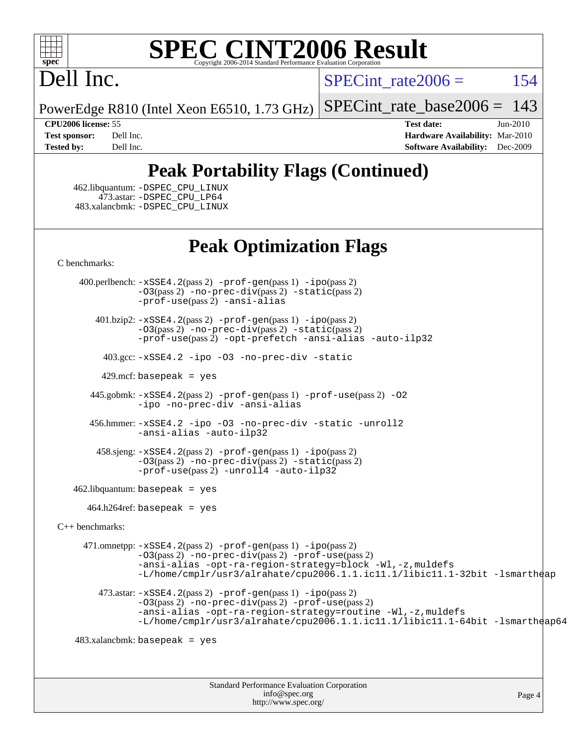

### Dell Inc.

SPECint rate $2006 = 154$ 

[SPECint\\_rate\\_base2006 =](http://www.spec.org/auto/cpu2006/Docs/result-fields.html#SPECintratebase2006) 143

PowerEdge R810 (Intel Xeon E6510, 1.73 GHz)

**[CPU2006 license:](http://www.spec.org/auto/cpu2006/Docs/result-fields.html#CPU2006license)** 55 **[Test date:](http://www.spec.org/auto/cpu2006/Docs/result-fields.html#Testdate)** Jun-2010 **[Test sponsor:](http://www.spec.org/auto/cpu2006/Docs/result-fields.html#Testsponsor)** Dell Inc. **[Hardware Availability:](http://www.spec.org/auto/cpu2006/Docs/result-fields.html#HardwareAvailability)** Mar-2010 **[Tested by:](http://www.spec.org/auto/cpu2006/Docs/result-fields.html#Testedby)** Dell Inc. **[Software Availability:](http://www.spec.org/auto/cpu2006/Docs/result-fields.html#SoftwareAvailability)** Dec-2009

#### **[Peak Portability Flags \(Continued\)](http://www.spec.org/auto/cpu2006/Docs/result-fields.html#PeakPortabilityFlags)**

 462.libquantum: [-DSPEC\\_CPU\\_LINUX](http://www.spec.org/cpu2006/results/res2010q3/cpu2006-20100803-12835.flags.html#b462.libquantum_peakCPORTABILITY_DSPEC_CPU_LINUX) 473.astar: [-DSPEC\\_CPU\\_LP64](http://www.spec.org/cpu2006/results/res2010q3/cpu2006-20100803-12835.flags.html#suite_peakCXXPORTABILITY473_astar_DSPEC_CPU_LP64) 483.xalancbmk: [-DSPEC\\_CPU\\_LINUX](http://www.spec.org/cpu2006/results/res2010q3/cpu2006-20100803-12835.flags.html#b483.xalancbmk_peakCXXPORTABILITY_DSPEC_CPU_LINUX)

#### **[Peak Optimization Flags](http://www.spec.org/auto/cpu2006/Docs/result-fields.html#PeakOptimizationFlags)**

[C benchmarks](http://www.spec.org/auto/cpu2006/Docs/result-fields.html#Cbenchmarks):

 400.perlbench: [-xSSE4.2](http://www.spec.org/cpu2006/results/res2010q3/cpu2006-20100803-12835.flags.html#user_peakPASS2_CFLAGSPASS2_LDCFLAGS400_perlbench_f-xSSE42_f91528193cf0b216347adb8b939d4107)(pass 2) [-prof-gen](http://www.spec.org/cpu2006/results/res2010q3/cpu2006-20100803-12835.flags.html#user_peakPASS1_CFLAGSPASS1_LDCFLAGS400_perlbench_prof_gen_e43856698f6ca7b7e442dfd80e94a8fc)(pass 1) [-ipo](http://www.spec.org/cpu2006/results/res2010q3/cpu2006-20100803-12835.flags.html#user_peakPASS2_CFLAGSPASS2_LDCFLAGS400_perlbench_f-ipo)(pass 2) [-O3](http://www.spec.org/cpu2006/results/res2010q3/cpu2006-20100803-12835.flags.html#user_peakPASS2_CFLAGSPASS2_LDCFLAGS400_perlbench_f-O3)(pass 2) [-no-prec-div](http://www.spec.org/cpu2006/results/res2010q3/cpu2006-20100803-12835.flags.html#user_peakPASS2_CFLAGSPASS2_LDCFLAGS400_perlbench_f-no-prec-div)(pass 2) [-static](http://www.spec.org/cpu2006/results/res2010q3/cpu2006-20100803-12835.flags.html#user_peakPASS2_CFLAGSPASS2_LDCFLAGS400_perlbench_f-static)(pass 2) [-prof-use](http://www.spec.org/cpu2006/results/res2010q3/cpu2006-20100803-12835.flags.html#user_peakPASS2_CFLAGSPASS2_LDCFLAGS400_perlbench_prof_use_bccf7792157ff70d64e32fe3e1250b55)(pass 2) [-ansi-alias](http://www.spec.org/cpu2006/results/res2010q3/cpu2006-20100803-12835.flags.html#user_peakCOPTIMIZE400_perlbench_f-ansi-alias)

 401.bzip2: [-xSSE4.2](http://www.spec.org/cpu2006/results/res2010q3/cpu2006-20100803-12835.flags.html#user_peakPASS2_CFLAGSPASS2_LDCFLAGS401_bzip2_f-xSSE42_f91528193cf0b216347adb8b939d4107)(pass 2) [-prof-gen](http://www.spec.org/cpu2006/results/res2010q3/cpu2006-20100803-12835.flags.html#user_peakPASS1_CFLAGSPASS1_LDCFLAGS401_bzip2_prof_gen_e43856698f6ca7b7e442dfd80e94a8fc)(pass 1) [-ipo](http://www.spec.org/cpu2006/results/res2010q3/cpu2006-20100803-12835.flags.html#user_peakPASS2_CFLAGSPASS2_LDCFLAGS401_bzip2_f-ipo)(pass 2) [-O3](http://www.spec.org/cpu2006/results/res2010q3/cpu2006-20100803-12835.flags.html#user_peakPASS2_CFLAGSPASS2_LDCFLAGS401_bzip2_f-O3)(pass 2) [-no-prec-div](http://www.spec.org/cpu2006/results/res2010q3/cpu2006-20100803-12835.flags.html#user_peakPASS2_CFLAGSPASS2_LDCFLAGS401_bzip2_f-no-prec-div)(pass 2) [-static](http://www.spec.org/cpu2006/results/res2010q3/cpu2006-20100803-12835.flags.html#user_peakPASS2_CFLAGSPASS2_LDCFLAGS401_bzip2_f-static)(pass 2) [-prof-use](http://www.spec.org/cpu2006/results/res2010q3/cpu2006-20100803-12835.flags.html#user_peakPASS2_CFLAGSPASS2_LDCFLAGS401_bzip2_prof_use_bccf7792157ff70d64e32fe3e1250b55)(pass 2) [-opt-prefetch](http://www.spec.org/cpu2006/results/res2010q3/cpu2006-20100803-12835.flags.html#user_peakCOPTIMIZE401_bzip2_f-opt-prefetch) [-ansi-alias](http://www.spec.org/cpu2006/results/res2010q3/cpu2006-20100803-12835.flags.html#user_peakCOPTIMIZE401_bzip2_f-ansi-alias) [-auto-ilp32](http://www.spec.org/cpu2006/results/res2010q3/cpu2006-20100803-12835.flags.html#user_peakCOPTIMIZE401_bzip2_f-auto-ilp32)

403.gcc: [-xSSE4.2](http://www.spec.org/cpu2006/results/res2010q3/cpu2006-20100803-12835.flags.html#user_peakCOPTIMIZE403_gcc_f-xSSE42_f91528193cf0b216347adb8b939d4107) [-ipo](http://www.spec.org/cpu2006/results/res2010q3/cpu2006-20100803-12835.flags.html#user_peakCOPTIMIZE403_gcc_f-ipo) [-O3](http://www.spec.org/cpu2006/results/res2010q3/cpu2006-20100803-12835.flags.html#user_peakCOPTIMIZE403_gcc_f-O3) [-no-prec-div](http://www.spec.org/cpu2006/results/res2010q3/cpu2006-20100803-12835.flags.html#user_peakCOPTIMIZE403_gcc_f-no-prec-div) [-static](http://www.spec.org/cpu2006/results/res2010q3/cpu2006-20100803-12835.flags.html#user_peakCOPTIMIZE403_gcc_f-static)

 $429$ .mcf: basepeak = yes

 445.gobmk: [-xSSE4.2](http://www.spec.org/cpu2006/results/res2010q3/cpu2006-20100803-12835.flags.html#user_peakPASS2_CFLAGSPASS2_LDCFLAGS445_gobmk_f-xSSE42_f91528193cf0b216347adb8b939d4107)(pass 2) [-prof-gen](http://www.spec.org/cpu2006/results/res2010q3/cpu2006-20100803-12835.flags.html#user_peakPASS1_CFLAGSPASS1_LDCFLAGS445_gobmk_prof_gen_e43856698f6ca7b7e442dfd80e94a8fc)(pass 1) [-prof-use](http://www.spec.org/cpu2006/results/res2010q3/cpu2006-20100803-12835.flags.html#user_peakPASS2_CFLAGSPASS2_LDCFLAGS445_gobmk_prof_use_bccf7792157ff70d64e32fe3e1250b55)(pass 2) [-O2](http://www.spec.org/cpu2006/results/res2010q3/cpu2006-20100803-12835.flags.html#user_peakCOPTIMIZE445_gobmk_f-O2) [-ipo](http://www.spec.org/cpu2006/results/res2010q3/cpu2006-20100803-12835.flags.html#user_peakCOPTIMIZE445_gobmk_f-ipo) [-no-prec-div](http://www.spec.org/cpu2006/results/res2010q3/cpu2006-20100803-12835.flags.html#user_peakCOPTIMIZE445_gobmk_f-no-prec-div) [-ansi-alias](http://www.spec.org/cpu2006/results/res2010q3/cpu2006-20100803-12835.flags.html#user_peakCOPTIMIZE445_gobmk_f-ansi-alias)

 456.hmmer: [-xSSE4.2](http://www.spec.org/cpu2006/results/res2010q3/cpu2006-20100803-12835.flags.html#user_peakCOPTIMIZE456_hmmer_f-xSSE42_f91528193cf0b216347adb8b939d4107) [-ipo](http://www.spec.org/cpu2006/results/res2010q3/cpu2006-20100803-12835.flags.html#user_peakCOPTIMIZE456_hmmer_f-ipo) [-O3](http://www.spec.org/cpu2006/results/res2010q3/cpu2006-20100803-12835.flags.html#user_peakCOPTIMIZE456_hmmer_f-O3) [-no-prec-div](http://www.spec.org/cpu2006/results/res2010q3/cpu2006-20100803-12835.flags.html#user_peakCOPTIMIZE456_hmmer_f-no-prec-div) [-static](http://www.spec.org/cpu2006/results/res2010q3/cpu2006-20100803-12835.flags.html#user_peakCOPTIMIZE456_hmmer_f-static) [-unroll2](http://www.spec.org/cpu2006/results/res2010q3/cpu2006-20100803-12835.flags.html#user_peakCOPTIMIZE456_hmmer_f-unroll_784dae83bebfb236979b41d2422d7ec2) [-ansi-alias](http://www.spec.org/cpu2006/results/res2010q3/cpu2006-20100803-12835.flags.html#user_peakCOPTIMIZE456_hmmer_f-ansi-alias) [-auto-ilp32](http://www.spec.org/cpu2006/results/res2010q3/cpu2006-20100803-12835.flags.html#user_peakCOPTIMIZE456_hmmer_f-auto-ilp32)

 458.sjeng: [-xSSE4.2](http://www.spec.org/cpu2006/results/res2010q3/cpu2006-20100803-12835.flags.html#user_peakPASS2_CFLAGSPASS2_LDCFLAGS458_sjeng_f-xSSE42_f91528193cf0b216347adb8b939d4107)(pass 2) [-prof-gen](http://www.spec.org/cpu2006/results/res2010q3/cpu2006-20100803-12835.flags.html#user_peakPASS1_CFLAGSPASS1_LDCFLAGS458_sjeng_prof_gen_e43856698f6ca7b7e442dfd80e94a8fc)(pass 1) [-ipo](http://www.spec.org/cpu2006/results/res2010q3/cpu2006-20100803-12835.flags.html#user_peakPASS2_CFLAGSPASS2_LDCFLAGS458_sjeng_f-ipo)(pass 2) [-O3](http://www.spec.org/cpu2006/results/res2010q3/cpu2006-20100803-12835.flags.html#user_peakPASS2_CFLAGSPASS2_LDCFLAGS458_sjeng_f-O3)(pass 2) [-no-prec-div](http://www.spec.org/cpu2006/results/res2010q3/cpu2006-20100803-12835.flags.html#user_peakPASS2_CFLAGSPASS2_LDCFLAGS458_sjeng_f-no-prec-div)(pass 2) [-static](http://www.spec.org/cpu2006/results/res2010q3/cpu2006-20100803-12835.flags.html#user_peakPASS2_CFLAGSPASS2_LDCFLAGS458_sjeng_f-static)(pass 2)  $-prof-use(pass 2) -unroll4 -auto-ilp32$  $-prof-use(pass 2) -unroll4 -auto-ilp32$  $-prof-use(pass 2) -unroll4 -auto-ilp32$  $-prof-use(pass 2) -unroll4 -auto-ilp32$  $-prof-use(pass 2) -unroll4 -auto-ilp32$ 

 $462$ .libquantum: basepeak = yes

464.h264ref: basepeak = yes

[C++ benchmarks:](http://www.spec.org/auto/cpu2006/Docs/result-fields.html#CXXbenchmarks)

 471.omnetpp: [-xSSE4.2](http://www.spec.org/cpu2006/results/res2010q3/cpu2006-20100803-12835.flags.html#user_peakPASS2_CXXFLAGSPASS2_LDCXXFLAGS471_omnetpp_f-xSSE42_f91528193cf0b216347adb8b939d4107)(pass 2) [-prof-gen](http://www.spec.org/cpu2006/results/res2010q3/cpu2006-20100803-12835.flags.html#user_peakPASS1_CXXFLAGSPASS1_LDCXXFLAGS471_omnetpp_prof_gen_e43856698f6ca7b7e442dfd80e94a8fc)(pass 1) [-ipo](http://www.spec.org/cpu2006/results/res2010q3/cpu2006-20100803-12835.flags.html#user_peakPASS2_CXXFLAGSPASS2_LDCXXFLAGS471_omnetpp_f-ipo)(pass 2) [-O3](http://www.spec.org/cpu2006/results/res2010q3/cpu2006-20100803-12835.flags.html#user_peakPASS2_CXXFLAGSPASS2_LDCXXFLAGS471_omnetpp_f-O3)(pass 2) [-no-prec-div](http://www.spec.org/cpu2006/results/res2010q3/cpu2006-20100803-12835.flags.html#user_peakPASS2_CXXFLAGSPASS2_LDCXXFLAGS471_omnetpp_f-no-prec-div)(pass 2) [-prof-use](http://www.spec.org/cpu2006/results/res2010q3/cpu2006-20100803-12835.flags.html#user_peakPASS2_CXXFLAGSPASS2_LDCXXFLAGS471_omnetpp_prof_use_bccf7792157ff70d64e32fe3e1250b55)(pass 2) [-ansi-alias](http://www.spec.org/cpu2006/results/res2010q3/cpu2006-20100803-12835.flags.html#user_peakCXXOPTIMIZE471_omnetpp_f-ansi-alias) [-opt-ra-region-strategy=block](http://www.spec.org/cpu2006/results/res2010q3/cpu2006-20100803-12835.flags.html#user_peakCXXOPTIMIZE471_omnetpp_f-opt-ra-region-strategy-block_a0a37c372d03933b2a18d4af463c1f69) [-Wl,-z,muldefs](http://www.spec.org/cpu2006/results/res2010q3/cpu2006-20100803-12835.flags.html#user_peakEXTRA_LDFLAGS471_omnetpp_link_force_multiple1_74079c344b956b9658436fd1b6dd3a8a) [-L/home/cmplr/usr3/alrahate/cpu2006.1.1.ic11.1/libic11.1-32bit -lsmartheap](http://www.spec.org/cpu2006/results/res2010q3/cpu2006-20100803-12835.flags.html#user_peakEXTRA_LIBS471_omnetpp_SmartHeap_d86dffe4a79b79ef8890d5cce17030c3) 473.astar: [-xSSE4.2](http://www.spec.org/cpu2006/results/res2010q3/cpu2006-20100803-12835.flags.html#user_peakPASS2_CXXFLAGSPASS2_LDCXXFLAGS473_astar_f-xSSE42_f91528193cf0b216347adb8b939d4107)(pass 2) [-prof-gen](http://www.spec.org/cpu2006/results/res2010q3/cpu2006-20100803-12835.flags.html#user_peakPASS1_CXXFLAGSPASS1_LDCXXFLAGS473_astar_prof_gen_e43856698f6ca7b7e442dfd80e94a8fc)(pass 1) [-ipo](http://www.spec.org/cpu2006/results/res2010q3/cpu2006-20100803-12835.flags.html#user_peakPASS2_CXXFLAGSPASS2_LDCXXFLAGS473_astar_f-ipo)(pass 2)

[-O3](http://www.spec.org/cpu2006/results/res2010q3/cpu2006-20100803-12835.flags.html#user_peakPASS2_CXXFLAGSPASS2_LDCXXFLAGS473_astar_f-O3)(pass 2) [-no-prec-div](http://www.spec.org/cpu2006/results/res2010q3/cpu2006-20100803-12835.flags.html#user_peakPASS2_CXXFLAGSPASS2_LDCXXFLAGS473_astar_f-no-prec-div)(pass 2) [-prof-use](http://www.spec.org/cpu2006/results/res2010q3/cpu2006-20100803-12835.flags.html#user_peakPASS2_CXXFLAGSPASS2_LDCXXFLAGS473_astar_prof_use_bccf7792157ff70d64e32fe3e1250b55)(pass 2) [-ansi-alias](http://www.spec.org/cpu2006/results/res2010q3/cpu2006-20100803-12835.flags.html#user_peakCXXOPTIMIZE473_astar_f-ansi-alias) [-opt-ra-region-strategy=routine](http://www.spec.org/cpu2006/results/res2010q3/cpu2006-20100803-12835.flags.html#user_peakCXXOPTIMIZE473_astar_f-opt-ra-region-strategy-routine_ba086ea3b1d46a52e1238e2ca173ed44) [-Wl,-z,muldefs](http://www.spec.org/cpu2006/results/res2010q3/cpu2006-20100803-12835.flags.html#user_peakEXTRA_LDFLAGS473_astar_link_force_multiple1_74079c344b956b9658436fd1b6dd3a8a) [-L/home/cmplr/usr3/alrahate/cpu2006.1.1.ic11.1/libic11.1-64bit -lsmartheap64](http://www.spec.org/cpu2006/results/res2010q3/cpu2006-20100803-12835.flags.html#user_peakEXTRA_LIBS473_astar_SmartHeap64_e2306cda84805d1ab360117a79ff779c)

 $483.xalanchmk: basepeak = yes$ 

Standard Performance Evaluation Corporation [info@spec.org](mailto:info@spec.org) <http://www.spec.org/>

Page 4